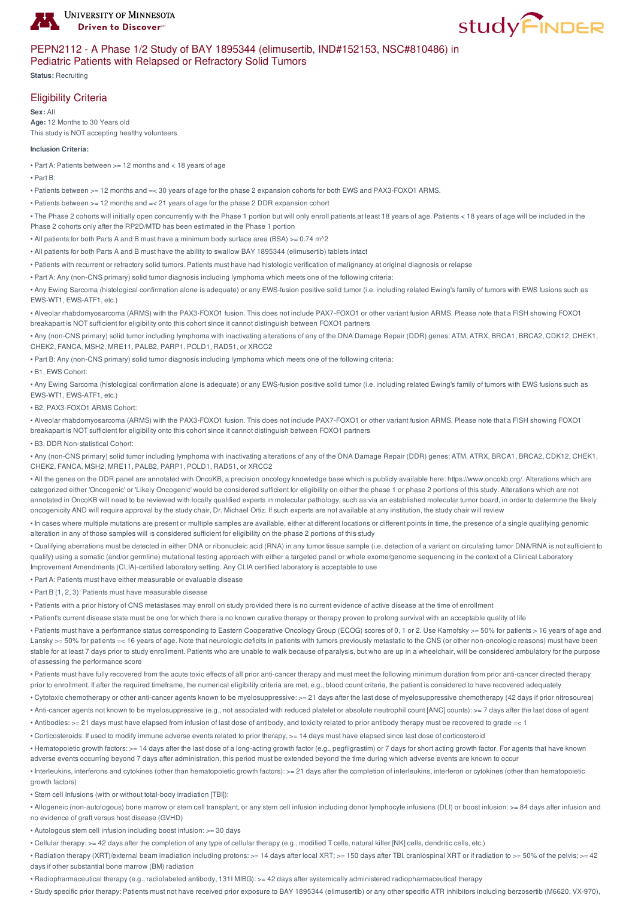



## PEPN2112 - A Phase 1/2 Study of BAY 1895344 (elimusertib, IND#152153, NSC#810486) in Pediatric Patients with Relapsed or Refractory Solid Tumors

**Status:** Recruiting

## Eligibility Criteria

**Sex:** All **Age:** 12 Months to 30 Years old This study is NOT accepting healthy volunteers

### **Inclusion Criteria:**

- Part A: Patients between >= 12 months and < 18 years of age
- Part B:

• Patients between >= 12 months and =< 30 years of age for the phase 2 expansion cohorts for both EWS and PAX3-FOXO1 ARMS.

- Patients between >= 12 months and =< 21 years of age for the phase 2 DDR expansion cohort
- The Phase 2 cohorts will initially open concurrently with the Phase 1 portion but will only enroll patients at least 18 years of age. Patients < 18 years of age will be included in the Phase 2 cohorts only after the RP2D/MTD has been estimated in the Phase 1 portion
- All patients for both Parts A and B must have a minimum body surface area (BSA) >= 0.74 m^2
- All patients for both Parts A and B must have the ability to swallow BAY 1895344 (elimusertib) tablets intact
- Patients with recurrent or refractory solid tumors. Patients must have had histologic verification of malignancy at original diagnosis or relapse

• Part A: Any (non-CNS primary) solid tumor diagnosis including lymphoma which meets one of the following criteria:

• Any Ewing Sarcoma (histological confirmation alone is adequate) or any EWS-fusion positive solid tumor (i.e. including related Ewing's family of tumors with EWS fusions such as EWS-WT1, EWS-ATF1, etc.)

• Alveolar rhabdomyosarcoma (ARMS) with the PAX3-FOXO1 fusion. This does not include PAX7-FOXO1 or other variant fusion ARMS. Please note that a FISH showing FOXO1 breakapart is NOT sufficient for eligibility onto this cohort since it cannot distinguish between FOXO1 partners

• Any (non-CNS primary) solid tumor including lymphoma with inactivating alterations of any of the DNA Damage Repair (DDR) genes: ATM, ATRX, BRCA1, BRCA2, CDK12, CHEK1, CHEK2, FANCA, MSH2, MRE11, PALB2, PARP1, POLD1, RAD51, or XRCC2

• Part B: Any (non-CNS primary) solid tumor diagnosis including lymphoma which meets one of the following criteria:

• B1, EWS Cohort:

• Any Ewing Sarcoma (histological confirmation alone is adequate) or any EWS-fusion positive solid tumor (i.e. including related Ewing's family of tumors with EWS fusions such as EWS-WT1, EWS-ATF1, etc.)

• B2, PAX3-FOXO1 ARMS Cohort:

• Alveolar rhabdomyosarcoma (ARMS) with the PAX3-FOXO1 fusion. This does not include PAX7-FOXO1 or other variant fusion ARMS. Please note that a FISH showing FOXO1 breakapart is NOT sufficient for eligibility onto this cohort since it cannot distinguish between FOXO1 partners

• B3, DDR Non-statistical Cohort:

• Any (non-CNS primary) solid tumor including lymphoma with inactivating alterations of any of the DNA Damage Repair (DDR) genes: ATM, ATRX, BRCA1, BRCA2, CDK12, CHEK1, CHEK2, FANCA, MSH2, MRE11, PALB2, PARP1, POLD1, RAD51, or XRCC2

• All the genes on the DDR panel are annotated with OncoKB, a precision oncology knowledge base which is publicly available here: https://www.oncokb.org/. Alterations which are categorized either 'Oncogenic' or 'Likely Oncogenic' would be considered sufficient for eligibility on either the phase 1 or phase 2 portions of this study. Alterations which are not annotated in OncoKB will need to be reviewed with locally qualified experts in molecular pathology, such as via an established molecular tumor board, in order to determine the likely oncogenicity AND will require approval by the study chair, Dr. Michael Ortiz. If such experts are not available at any institution, the study chair will review

• In cases where multiple mutations are present or multiple samples are available, either at different locations or different points in time, the presence of a single qualifying genomic alteration in any of those samples will is considered sufficient for eligibility on the phase 2 portions of this study

• Qualifying aberrations must be detected in either DNA or ribonucleic acid (RNA) in any tumor tissue sample (i.e. detection of a variant on circulating tumor DNA/RNA is not sufficient to qualify) using a somatic (and/or germline) mutational testing approach with either a targeted panel or whole exome/genome sequencing in the context of a Clinical Laboratory Improvement Amendments (CLIA)-certified laboratory setting. Any CLIA certified laboratory is acceptable to use

• Part A: Patients must have either measurable or evaluable disease

• Part B (1, 2, 3): Patients must have measurable disease

• Patients with a prior history of CNS metastases may enroll on study provided there is no current evidence of active disease at the time of enrollment

• Patient's current disease state must be one for which there is no known curative therapy or therapy proven to prolong survival with an acceptable quality of life

• Patients must have a performance status corresponding to Eastern Cooperative Oncology Group (ECOG) scores of 0, 1 or 2. Use Karnofsky >= 50% for patients > 16 years of age and Lansky >= 50% for patients =< 16 years of age. Note that neurologic deficits in patients with tumors previously metastatic to the CNS (or other non-oncologic reasons) must have been stable for at least 7 days prior to study enrollment. Patients who are unable to walk because of paralysis, but who are up in a wheelchair, will be considered ambulatory for the purpose of assessing the performance score

• Patients must have fully recovered from the acute toxic effects of all prior anti-cancer therapy and must meet the following minimum duration from prior anti-cancer directed therapy prior to enrollment. If after the required timeframe, the numerical eligibility criteria are met, e.g., blood count criteria, the patient is considered to have recovered adequately

• Cytotoxic chemotherapy or other anti-cancer agents known to be myelosuppressive: >= 21 days after the last dose of myelosuppressive chemotherapy (42 days if prior nitrosourea)

• Anti-cancer agents not known to be myelosuppressive (e.g., not associated with reduced platelet or absolute neutrophil count [ANC] counts): >= 7 days after the last dose of agent

• Antibodies: >= 21 days must have elapsed from infusion of last dose of antibody, and toxicity related to prior antibody therapy must be recovered to grade =< 1

• Corticosteroids: If used to modify immune adverse events related to prior therapy, >= 14 days must have elapsed since last dose of corticosteroid

• Hematopoietic growth factors: >= 14 days after the last dose of a long-acting growth factor (e.g., pegfilgrastim) or 7 days for short acting growth factor. For agents that have known adverse events occurring beyond 7 days after administration, this period must be extended beyond the time during which adverse events are known to occur

• Interleukins, interferons and cytokines (other than hematopoietic growth factors): >= 21 days after the completion of interleukins, interferon or cytokines (other than hematopoietic growth factors)

• Stem cell Infusions (with or without total-body irradiation [TBI]):

• Allogeneic (non-autologous) bone marrow or stem cell transplant, or any stem cell infusion including donor lymphocyte infusions (DLI) or boost infusion: >= 84 days after infusion and no evidence of graft versus host disease (GVHD)

• Autologous stem cell infusion including boost infusion: >= 30 days

• Cellular therapy: >= 42 days after the completion of any type of cellular therapy (e.g., modified T cells, natural killer [NK] cells, dendritic cells, etc.)

• Radiation therapy (XRT)/external beam irradiation including protons:  $>= 14$  days after local XRT;  $>= 150$  days after TBI, craniospinal XRT or if radiation to  $>= 50\%$  of the pelvis;  $>= 42$ days if other substantial bone marrow (BM) radiation

• Radiopharmaceutical therapy (e.g., radiolabeled antibody, 131I MIBG): >= 42 days after systemically administered radiopharmaceutical therapy

• Study specific prior therapy: Patients must not have received prior exposure to BAY 1895344 (elimusertib) or any other specific ATR inhibitors including berzosertib (M6620, VX-970),